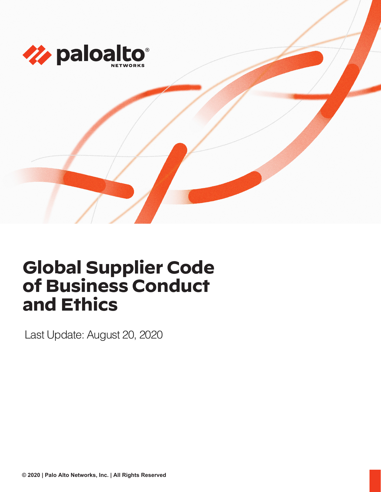

# **Global Supplier Code of Business Conduct and Ethics**

Last Update: August 20, 2020

**© 2020 | Palo Alto Networks, Inc. | All Rights Reserved**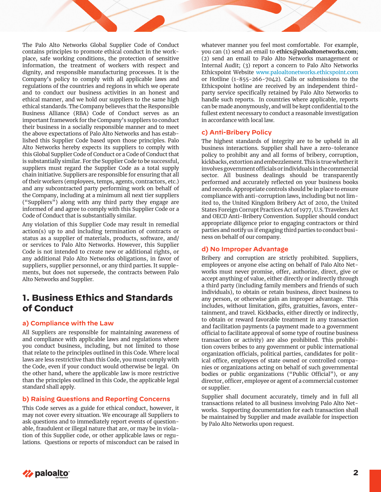The Palo Alto Networks Global Supplier Code of Conduct contains principles to promote ethical conduct in the workplace, safe working conditions, the protection of sensitive information, the treatment of workers with respect and dignity, and responsible manufacturing processes. It is the Company's policy to comply with all applicable laws and regulations of the countries and regions in which we operate and to conduct our business activities in an honest and ethical manner, and we hold our suppliers to the same high ethical standards. The Company believes that the Responsible Business Alliance (RBA) Code of Conduct serves as an important framework for the Company's suppliers to conduct their business in a socially responsible manner and to meet the above expectations of Palo Alto Networks and has established this Supplier Code based upon those principles. Palo Alto Networks hereby expects its suppliers to comply with this Global Supplier Code of Conduct or a Code of Conduct that is substantially similar. For the Supplier Code to be successful, suppliers must regard the Supplier Code as a total supply chain initiative. Suppliers are responsible for ensuring that all of their workers (employees, temps, agents, contractors, etc.) and any subcontracted party performing work on behalf of the Company, including at a minimum all next tier suppliers ("Suppliers") along with any third party they engage are informed of and agree to comply with this Supplier Code or a Code of Conduct that is substantially similar.

Any violation of this Supplier Code may result in remedial action(s) up to and including termination of contracts or status as a supplier of materials, products, software, and/ or services to Palo Alto Networks. However, this Supplier Code is not intended to create new or additional rights, or any additional Palo Alto Networks obligations, in favor of suppliers, supplier personnel, or any third parties. It supplements, but does not supersede, the contracts between Palo Alto Networks and Supplier.

# **1. Business Ethics and Standards of Conduct**

# **a) Compliance with the Law**

All Suppliers are responsible for maintaining awareness of and compliance with applicable laws and regulations where you conduct business, including, but not limited to those that relate to the principles outlined in this Code. Where local laws are less restrictive than this Code, you must comply with the Code, even if your conduct would otherwise be legal. On the other hand, where the applicable law is more restrictive than the principles outlined in this Code, the applicable legal standard shall apply.

# **b) Raising Questions and Reporting Concerns**

This Code serves as a guide for ethical conduct, however, it may not cover every situation. We encourage all Suppliers to ask questions and to immediately report events of questionable, fraudulent or illegal nature that are, or may be in violation of this Supplier code, or other applicable laws or regulations. Questions or reports of misconduct can be raised in whatever manner you feel most comfortable. For example, you can (1) send an email to **ethics@paloaltonetworks.com**; (2) send an email to Palo Alto Networks management or Internal Audit; (3) report a concern to Palo Alto Networks Ethicspoint Website [www.paloaltonetworks.ethicspoint.com](http://www.paloaltonetworks.ethicspoint.com) or Hotline (1-855-266-7042). Calls or submissions to the Ethicspoint hotline are received by an independent thirdparty service specifically retained by Palo Alto Networks to handle such reports. In countries where applicable, reports can be made anonymously, and will be kept confidential to the fullest extent necessary to conduct a reasonable investigation in accordance with local law.

# **c) Anti-Bribery Policy**

The highest standards of integrity are to be upheld in all business interactions. Supplier shall have a zero-tolerance policy to prohibit any and all forms of bribery, corruption, kickbacks, extortion and embezzlement. This is true whether it involves government officials or individuals in the commercial sector. All business dealings should be transparently performed and accurately reflected on your business books and records. Appropriate controls should be in place to ensure compliance with anti-corruption laws, including but not limited to, the United Kingdom Bribery Act of 2010, the United States Foreign Corrupt Practices Act of 1977, U.S. Travelers Act and OECD Anti-Bribery Convention. Supplier should conduct appropriate diligence prior to engaging contractors or third parties and notify us if engaging third parties to conduct business on behalf of our company.

# **d) No Improper Advantage**

Bribery and corruption are strictly prohibited. Suppliers, employees or anyone else acting on behalf of Palo Alto Networks must never promise, offer, authorize, direct, give or accept anything of value, either directly or indirectly through a third party (including family members and friends of such individuals), to obtain or retain business, direct business to any person, or otherwise gain an improper advantage. This includes, without limitation, gifts, gratuities, favors, entertainment, and travel. Kickbacks, either directly or indirectly, to obtain or reward favorable treatment in any transaction and facilitation payments (a payment made to a government official to facilitate approval of some type of routine business transaction or activity) are also prohibited. This prohibition covers bribes to any government or public international organization officials, political parties, candidates for political office, employees of state owned or controlled companies or organizations acting on behalf of such governmental bodies or public organizations ("Public Official"), or any director, officer, employee or agent of a commercial customer or supplier.

Supplier shall document accurately, timely and in full all transactions related to all business involving Palo Alto Networks. Supporting documentation for each transaction shall be maintained by Supplier and made available for inspection by Palo Alto Networks upon request.

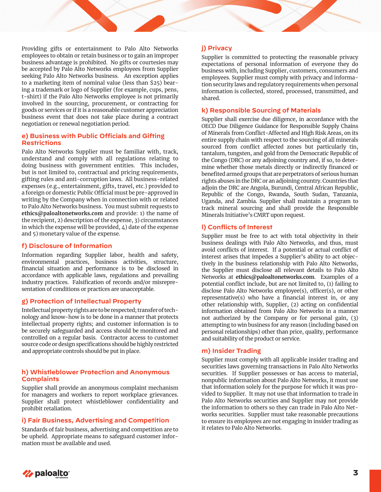Providing gifts or entertainment to Palo Alto Networks employees to obtain or retain business or to gain an improper business advantage is prohibited. No gifts or courtesies may be accepted by Palo Alto Networks employees from Supplier seeking Palo Alto Networks business. An exception applies to a marketing item of nominal value (less than \$25) bearing a trademark or logo of Supplier (for example, cups, pens, t-shirt) if the Palo Alto Networks employee is not primarily involved in the sourcing, procurement, or contracting for goods or services or if it is a reasonable customer appreciation business event that does not take place during a contract negotiation or renewal negotiation period.

#### **e) Business with Public Officials and Gifting Restrictions**

Palo Alto Networks Supplier must be familiar with, track, understand and comply with all regulations relating to doing business with government entities. This includes, but is not limited to, contractual and pricing requirements, gifting rules and anti-corruption laws. All business-related expenses (e.g., entertainment, gifts, travel, etc.) provided to a foreign or domestic Public Official must be pre-approved in writing by the Company when in connection with or related to Palo Alto Networks business. You must submit requests to **[ethics@paloaltonetworks.com](mailto:ethics@paloaltonetworks.com)** and provide: 1) the name of the recipient, 2) description of the expense, 3) circumstances in which the expense will be provided,  $\mu$ ) date of the expense and 5) monetary value of the expense.

# **f) Disclosure of Information**

Information regarding Supplier labor, health and safety, environmental practices, business activities, structure, financial situation and performance is to be disclosed in accordance with applicable laws, regulations and prevailing industry practices. Falsification of records and/or misrepresentation of conditions or practices are unacceptable.

#### **g) Protection of Intellectual Property**

Intellectual property rights are to be respected; transfer of technology and know-how is to be done in a manner that protects intellectual property rights; and customer information is to be securely safeguarded and access should be monitored and controlled on a regular basis. Contractor access to customer source code or design specifications should be highly restricted and appropriate controls should be put in place.

## **h) Whistleblower Protection and Anonymous Complaints**

Supplier shall provide an anonymous complaint mechanism for managers and workers to report workplace grievances. Supplier shall protect whistleblower confidentiality and prohibit retaliation.

#### **i) Fair Business, Advertising and Competition**

Standards of fair business, advertising and competition are to be upheld. Appropriate means to safeguard customer information must be available and used.

## **j) Privacy**

Supplier is committed to protecting the reasonable privacy expectations of personal information of everyone they do business with, including Supplier, customers, consumers and employees. Supplier must comply with privacy and information security laws and regulatory requirements when personal information is collected, stored, processed, transmitted, and shared.

## **k) Responsible Sourcing of Materials**

Supplier shall exercise due diligence, in accordance with the OECD Due Diligence Guidance for Responsible Supply Chains of Minerals from Conflict-Affected and High Risk Areas, on its entire supply chain with respect to the sourcing of all minerals sourced from conflict affected zones but particularly tin, tantalum, tungsten, and gold from the Democratic Republic of the Congo (DRC) or any adjoining country and, if so, to determine whether those metals directly or indirectly financed or benefited armed groups that are perpetrators of serious human rights abuses in the DRC or an adjoining country. Countries that adjoin the DRC are Angola, Burundi, Central African Republic, Republic of the Congo, Rwanda, South Sudan, Tanzania, Uganda, and Zambia. Supplier shall maintain a program to track mineral sourcing and shall provide the Responsible Minerals Initiative's CMRT upon request.

#### **l) Conflicts of Interest**

Supplier must be free to act with total objectivity in their business dealings with Palo Alto Networks, and thus, must avoid conflicts of interest. If a potential or actual conflict of interest arises that impedes a Supplier's ability to act objectively in the business relationship with Palo Alto Networks, the Supplier must disclose all relevant details to Palo Alto Networks at **ethics@paloaltonetworks.com**. Examples of a potential conflict include, but are not limited to, (1) failing to disclose Palo Alto Networks employee(s), officer(s), or other representative(s) who have a financial interest in, or any other relationship with, Supplier, (2) acting on confidential information obtained from Palo Alto Networks in a manner not authorized by the Company or for personal gain, (3) attempting to win business for any reason (including based on personal relationships) other than price, quality, performance and suitability of the product or service.

#### **m) Insider Trading**

Supplier must comply with all applicable insider trading and securities laws governing transactions in Palo Alto Networks securities. If Supplier possesses or has access to material, nonpublic information about Palo Alto Networks, it must use that information solely for the purpose for which it was provided to Supplier. It may not use that information to trade in Palo Alto Networks securities and Supplier may not provide the information to others so they can trade in Palo Alto Networks securities. Supplier must take reasonable precautions to ensure its employees are not engaging in insider trading as it relates to Palo Alto Networks.

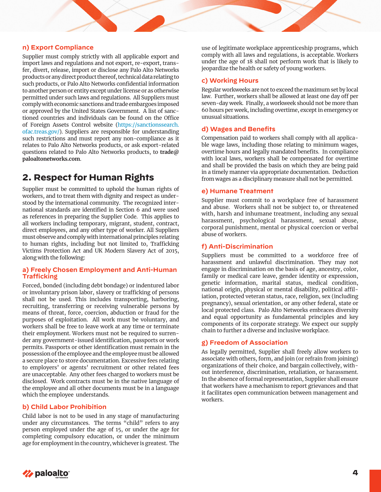# **n) Export Compliance**

Supplier must comply strictly with all applicable export and import laws and regulations and not export, re-export, transfer, divert, release, import or disclose any Palo Alto Networks products or any direct product thereof, technical data relating to such products, or Palo Alto Networks confidential information to another person or entity except under license or as otherwise permitted under such laws and regulations. All Suppliers must comply with economic sanctions and trade embargoes imposed or approved by the United States Government. A list of sanctioned countries and individuals can be found on the Office of Foreign Assets Control website [\(https://sanctionssearch.](https://sanctionssearch.ofac.treas.gov/) [ofac.treas.gov/\)](https://sanctionssearch.ofac.treas.gov/). Suppliers are responsible for understanding such restrictions and must report any non-compliance as it relates to Palo Alto Networks products, or ask export-related questions related to Palo Alto Networks products, to **trade@ paloaltonetworks.com**.

# **2. Respect for Human Rights**

Supplier must be committed to uphold the human rights of workers, and to treat them with dignity and respect as understood by the international community. The recognized international standards are identified in Section 6 and were used as references in preparing the Supplier Code. This applies to all workers including temporary, migrant, student, contract, direct employees, and any other type of worker. All Suppliers must observe and comply with international principles relating to human rights, including but not limited to, Trafficking Victims Protection Act and UK Modern Slavery Act of 2015, along with the following:

# **a) Freely Chosen Employment and Anti-Human Trafficking**

Forced, bonded (including debt bondage) or indentured labor or involuntary prison labor, slavery or trafficking of persons shall not be used. This includes transporting, harboring, recruiting, transferring or receiving vulnerable persons by means of threat, force, coercion, abduction or fraud for the purposes of exploitation. All work must be voluntary, and workers shall be free to leave work at any time or terminate their employment. Workers must not be required to surrender any government-issued identification, passports or work permits. Passports or other identification must remain in the possession of the employee and the employee must be allowed a secure place to store documentation. Excessive fees relating to employers' or agents' recruitment or other related fees are unacceptable. Any other fees charged to workers must be disclosed. Work contracts must be in the native language of the employee and all other documents must be in a language which the employee understands.

# **b) Child Labor Prohibition**

Child labor is not to be used in any stage of manufacturing under any circumstances. The terms "child" refers to any person employed under the age of 15, or under the age for completing compulsory education, or under the minimum age for employment in the country, whichever is greatest. The use of legitimate workplace apprenticeship programs, which comply with all laws and regulations, is acceptable. Workers under the age of 18 shall not perform work that is likely to jeopardize the health or safety of young workers.

## **c) Working Hours**

Regular workweeks are not to exceed the maximum set by local law. Further, workers shall be allowed at least one day off per seven-day week. Finally, a workweek should not be more than 60 hours per week, including overtime, except in emergency or unusual situations.

#### **d) Wages and Benefits**

Compensation paid to workers shall comply with all applicable wage laws, including those relating to minimum wages, overtime hours and legally mandated benefits. In compliance with local laws, workers shall be compensated for overtime and shall be provided the basis on which they are being paid in a timely manner via appropriate documentation. Deduction from wages as a disciplinary measure shall not be permitted.

#### **e) Humane Treatment**

Supplier must commit to a workplace free of harassment and abuse. Workers shall not be subject to, or threatened with, harsh and inhumane treatment, including any sexual harassment, psychological harassment, sexual abuse, corporal punishment, mental or physical coercion or verbal abuse of workers.

# **f) Anti-Discrimination**

Suppliers must be committed to a workforce free of harassment and unlawful discrimination. They may not engage in discrimination on the basis of age, ancestry, color, family or medical care leave, gender identity or expression, genetic information, marital status, medical condition, national origin, physical or mental disability, political affiliation, protected veteran status, race, religion, sex (including pregnancy), sexual orientation, or any other federal, state or local protected class. Palo Alto Networks embraces diversity and equal opportunity as fundamental principles and key components of its corporate strategy. We expect our supply chain to further a diverse and inclusive workplace.

# **g) Freedom of Association**

As legally permitted, Supplier shall freely allow workers to associate with others, form, and join (or refrain from joining) organizations of their choice, and bargain collectively, without interference, discrimination, retaliation, or harassment. In the absence of formal representation, Supplier shall ensure that workers have a mechanism to report grievances and that it facilitates open communication between management and workers.

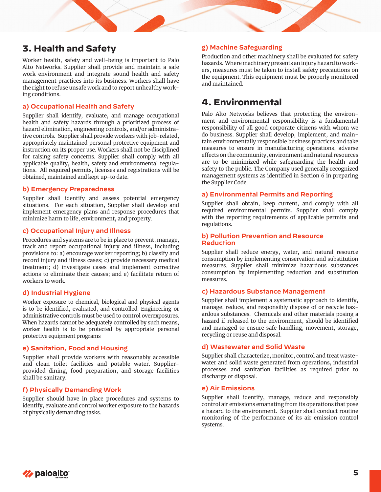# **3. Health and Safety**

Worker health, safety and well-being is important to Palo Alto Networks. Supplier shall provide and maintain a safe work environment and integrate sound health and safety management practices into its business. Workers shall have the right to refuse unsafe work and to report unhealthy working conditions.

#### **a) Occupational Health and Safety**

Supplier shall identify, evaluate, and manage occupational health and safety hazards through a prioritized process of hazard elimination, engineering controls, and/or administrative controls. Supplier shall provide workers with job-related, appropriately maintained personal protective equipment and instruction on its proper use. Workers shall not be disciplined for raising safety concerns. Supplier shall comply with all applicable quality, health, safety and environmental regulations. All required permits, licenses and registrations will be obtained, maintained and kept up-to date.

### **b) Emergency Preparedness**

Supplier shall identify and assess potential emergency situations. For each situation, Supplier shall develop and implement emergency plans and response procedures that minimize harm to life, environment, and property.

# **c) Occupational Injury and Illness**

Procedures and systems are to be in place to prevent, manage, track and report occupational injury and illness, including provisions to: a) encourage worker reporting; b) classify and record injury and illness cases; c) provide necessary medical treatment; d) investigate cases and implement corrective actions to eliminate their causes; and e) facilitate return of workers to work.

# **d) Industrial Hygiene**

Worker exposure to chemical, biological and physical agents is to be identified, evaluated, and controlled. Engineering or administrative controls must be used to control overexposures. When hazards cannot be adequately controlled by such means, worker health is to be protected by appropriate personal protective equipment programs

# **e) Sanitation, Food and Housing**

Supplier shall provide workers with reasonably accessible and clean toilet facilities and potable water. Supplierprovided dining, food preparation, and storage facilities shall be sanitary.

# **f) Physically Demanding Work**

Supplier should have in place procedures and systems to identify, evaluate and control worker exposure to the hazards of physically demanding tasks.

# **g) Machine Safeguarding**

Production and other machinery shall be evaluated for safety hazards. Where machinery presents an injury hazard to workers, measures must be taken to install safety precautions on the equipment. This equipment must be properly monitored and maintained.

# **4. Environmental**

Palo Alto Networks believes that protecting the environment and environmental responsibility is a fundamental responsibility of all good corporate citizens with whom we do business. Supplier shall develop, implement, and maintain environmentally responsible business practices and take measures to ensure in manufacturing operations, adverse effects on the community, environment and natural resources are to be minimized while safeguarding the health and safety to the public. The Company used generally recognized management systems as identified in Section 6 in preparing the Supplier Code.

# **a) Environmental Permits and Reporting**

Supplier shall obtain, keep current, and comply with all required environmental permits. Supplier shall comply with the reporting requirements of applicable permits and regulations.

#### **b) Pollution Prevention and Resource Reduction**

Supplier shall reduce energy, water, and natural resource consumption by implementing conservation and substitution measures. Supplier shall minimize hazardous substances consumption by implementing reduction and substitution measures.

#### **c) Hazardous Substance Management**

Supplier shall implement a systematic approach to identify, manage, reduce, and responsibly dispose of or recycle hazardous substances. Chemicals and other materials posing a hazard if released to the environment, should be identified and managed to ensure safe handling, movement, storage, recycling or reuse and disposal.

# **d) Wastewater and Solid Waste**

Supplier shall characterize, monitor, control and treat wastewater and solid waste generated from operations, industrial processes and sanitation facilities as required prior to discharge or disposal.

# **e) Air Emissions**

Supplier shall identify, manage, reduce and responsibly control air emissions emanating from its operations that pose a hazard to the environment. Supplier shall conduct routine monitoring of the performance of its air emission control systems.

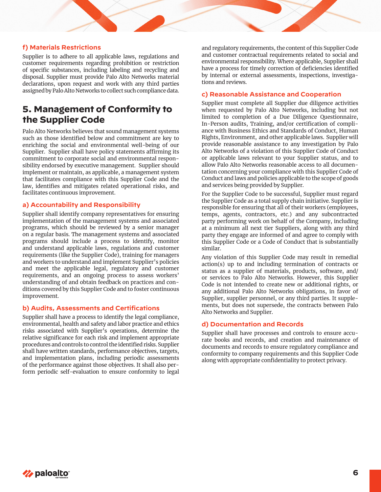# **f) Materials Restrictions**

Supplier is to adhere to all applicable laws, regulations and customer requirements regarding prohibition or restriction of specific substances, including labeling and recycling and disposal. Supplier must provide Palo Alto Networks material declarations, upon request and work with any third parties assigned by Palo Alto Networks to collect such compliance data.

# **5. Management of Conformity to the Supplier Code**

Palo Alto Networks believes that sound management systems such as those identified below and commitment are key to enriching the social and environmental well-being of our Supplier. Supplier shall have policy statements affirming its commitment to corporate social and environmental responsibility endorsed by executive management. Supplier should implement or maintain, as applicable, a management system that facilitates compliance with this Supplier Code and the law, identifies and mitigates related operational risks, and facilitates continuous improvement.

# **a) Accountability and Responsibility**

Supplier shall identify company representatives for ensuring implementation of the management systems and associated programs, which should be reviewed by a senior manager on a regular basis. The management systems and associated programs should include a process to identify, monitor and understand applicable laws, regulations and customer requirements (like the Supplier Code), training for managers and workers to understand and implement Supplier's policies and meet the applicable legal, regulatory and customer requirements, and an ongoing process to assess workers' understanding of and obtain feedback on practices and conditions covered by this Supplier Code and to foster continuous improvement.

# **b) Audits, Assessments and Certifications**

Supplier shall have a process to identify the legal compliance, environmental, health and safety and labor practice and ethics risks associated with Supplier's operations, determine the relative significance for each risk and implement appropriate procedures and controls to control the identified risks. Supplier shall have written standards, performance objectives, targets, and implementation plans, including periodic assessments of the performance against those objectives. It shall also perform periodic self-evaluation to ensure conformity to legal and regulatory requirements, the content of this Supplier Code and customer contractual requirements related to social and environmental responsibility. Where applicable, Supplier shall have a process for timely correction of deficiencies identified by internal or external assessments, inspections, investigations and reviews.

#### **c) Reasonable Assistance and Cooperation**

Supplier must complete all Supplier due diligence activities when requested by Palo Alto Networks, including but not limited to completion of a Due Diligence Questionnaire, In-Person audits, Training, and/or certification of compliance with Business Ethics and Standards of Conduct, Human Rights, Environment, and other applicable laws. Supplier will provide reasonable assistance to any investigation by Palo Alto Networks of a violation of this Supplier Code of Conduct or applicable laws relevant to your Supplier status, and to allow Palo Alto Networks reasonable access to all documentation concerning your compliance with this Supplier Code of Conduct and laws and policies applicable to the scope of goods and services being provided by Supplier.

For the Supplier Code to be successful, Supplier must regard the Supplier Code as a total supply chain initiative. Supplier is responsible for ensuring that all of their workers (employees, temps, agents, contractors, etc.) and any subcontracted party performing work on behalf of the Company, including at a minimum all next tier Suppliers, along with any third party they engage are informed of and agree to comply with this Supplier Code or a Code of Conduct that is substantially similar.

Any violation of this Supplier Code may result in remedial action(s) up to and including termination of contracts or status as a supplier of materials, products, software, and/ or services to Palo Alto Networks. However, this Supplier Code is not intended to create new or additional rights, or any additional Palo Alto Networks obligations, in favor of Supplier, supplier personnel, or any third parties. It supplements, but does not supersede, the contracts between Palo Alto Networks and Supplier.

## **d) Documentation and Records**

Supplier shall have processes and controls to ensure accurate books and records, and creation and maintenance of documents and records to ensure regulatory compliance and conformity to company requirements and this Supplier Code along with appropriate confidentiality to protect privacy.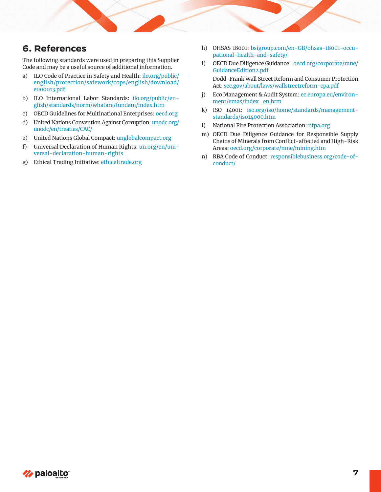# **6. References**

The following standards were used in preparing this Supplier Code and may be a useful source of additional information.

- a) ILO Code of Practice in Safety and Health: [ilo.org/public/](http://www.ilo.org/safework/lang--en/index.htm) [english/protection/safework/cops/english/download/](http://www.ilo.org/safework/lang--en/index.htm) [e000013.pdf](http://www.ilo.org/safework/lang--en/index.htm)
- b) ILO International Labor Standards: [ilo.org/public/en](http://ilo.org/public/english/standards/norm/whatare/fundam/index.htm)[glish/standards/norm/whatare/fundam/index.htm](http://ilo.org/public/english/standards/norm/whatare/fundam/index.htm)
- c) OECD Guidelines for Multinational Enterprises: [oecd.org](http://oecd.org)
- d) United Nations Convention Against Corruption: [unodc.org/](http://unodc.org/unodc/en/treaties/CAC/) [unodc/en/treaties/CAC/](http://unodc.org/unodc/en/treaties/CAC/)
- e) United Nations Global Compact: [unglobalcompact.org](https://unglobalcompact.org/)
- f) Universal Declaration of Human Rights: [un.org/en/uni](https://www.un.org/en/universal-declaration-human-rights/)[versal-declaration-human-rights](https://www.un.org/en/universal-declaration-human-rights/)
- g) Ethical Trading Initiative: [ethicaltrade.org](http://ethicaltrade.org)
- h) OHSAS 18001: [bsigroup.com/en-GB/ohsas-18001-occu](http://bsigroup.com/en-GB/ohsas-18001-occupational-health-and-safety/)[pational-health-and-safety/](http://bsigroup.com/en-GB/ohsas-18001-occupational-health-and-safety/)
- i) OECD Due Diligence Guidance: [oecd.org/corporate/mne/](http://oecd.org/corporate/mne/GuidanceEdition2.pdf) [GuidanceEdition2.pdf](http://oecd.org/corporate/mne/GuidanceEdition2.pdf)

Dodd-Frank Wall Street Reform and Consumer Protection Act: [sec.gov/about/laws/wallstreetreform-cpa.pdf](http://sec.gov/about/laws/wallstreetreform-cpa.pdf)

- j) Eco Management & Audit System: [ec.europa.eu/environ](http://ec.europa.eu/environment/emas/index_en.htm)[ment/emas/index\\_en.htm](http://ec.europa.eu/environment/emas/index_en.htm)
- k) ISO 14001: [iso.org/iso/home/standards/management](http://iso.org/iso/home/standards/management-standards/iso14000.htm)[standards/iso14000.htm](http://iso.org/iso/home/standards/management-standards/iso14000.htm)
- l) National Fire Protection Association: [nfpa.org](http://nfpa.org)
- m) OECD Due Diligence Guidance for Responsible Supply Chains of Minerals from Conflict-affected and High-Risk Areas: [oecd.org/corporate/mne/mining.htm](http://oecd.org/corporate/mne/mining.htm)
- n) RBA Code of Conduct: [responsiblebusiness.org/code-of](http://responsiblebusiness.org/code-of-conduct/)[conduct/](http://responsiblebusiness.org/code-of-conduct/)